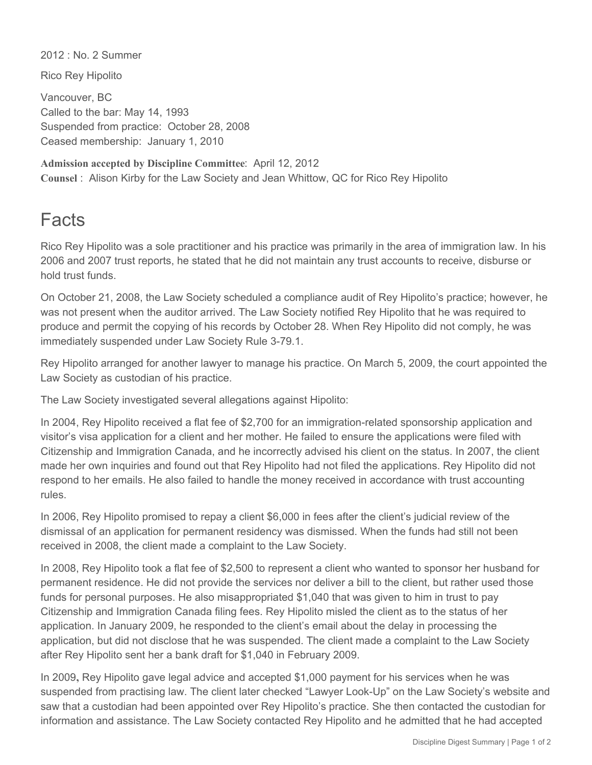2012 : No. 2 Summer

Rico Rey Hipolito

Vancouver, BC Called to the bar: May 14, 1993 Suspended from practice: October 28, 2008 Ceased membership: January 1, 2010

**Admission accepted by Discipline Committee**: April 12, 2012 **Counsel** : Alison Kirby for the Law Society and Jean Whittow, QC for Rico Rey Hipolito

## **Facts**

Rico Rey Hipolito was a sole practitioner and his practice was primarily in the area of immigration law. In his 2006 and 2007 trust reports, he stated that he did not maintain any trust accounts to receive, disburse or hold trust funds.

On October 21, 2008, the Law Society scheduled a compliance audit of Rey Hipolito's practice; however, he was not present when the auditor arrived. The Law Society notified Rey Hipolito that he was required to produce and permit the copying of his records by October 28. When Rey Hipolito did not comply, he was immediately suspended under Law Society Rule 3-79.1.

Rey Hipolito arranged for another lawyer to manage his practice. On March 5, 2009, the court appointed the Law Society as custodian of his practice.

The Law Society investigated several allegations against Hipolito:

In 2004, Rey Hipolito received a flat fee of \$2,700 for an immigration-related sponsorship application and visitor's visa application for a client and her mother. He failed to ensure the applications were filed with Citizenship and Immigration Canada, and he incorrectly advised his client on the status. In 2007, the client made her own inquiries and found out that Rey Hipolito had not filed the applications. Rey Hipolito did not respond to her emails. He also failed to handle the money received in accordance with trust accounting rules.

In 2006, Rey Hipolito promised to repay a client \$6,000 in fees after the client's judicial review of the dismissal of an application for permanent residency was dismissed. When the funds had still not been received in 2008, the client made a complaint to the Law Society.

In 2008, Rey Hipolito took a flat fee of \$2,500 to represent a client who wanted to sponsor her husband for permanent residence. He did not provide the services nor deliver a bill to the client, but rather used those funds for personal purposes. He also misappropriated \$1,040 that was given to him in trust to pay Citizenship and Immigration Canada filing fees. Rey Hipolito misled the client as to the status of her application. In January 2009, he responded to the client's email about the delay in processing the application, but did not disclose that he was suspended. The client made a complaint to the Law Society after Rey Hipolito sent her a bank draft for \$1,040 in February 2009.

In 2009**,** Rey Hipolito gave legal advice and accepted \$1,000 payment for his services when he was suspended from practising law. The client later checked "Lawyer Look-Up" on the Law Society's website and saw that a custodian had been appointed over Rey Hipolito's practice. She then contacted the custodian for information and assistance. The Law Society contacted Rey Hipolito and he admitted that he had accepted